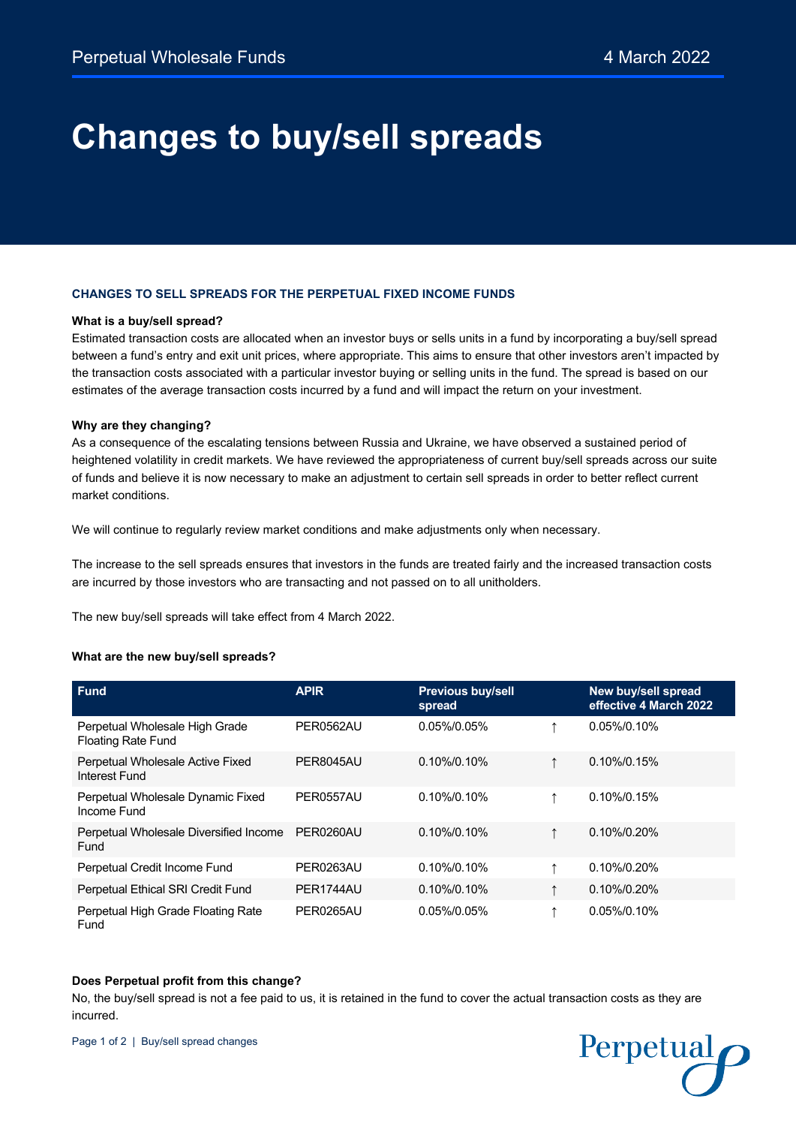# **Changes to buy/sell spreads**

# **CHANGES TO SELL SPREADS FOR THE PERPETUAL FIXED INCOME FUNDS**

# **What is a buy/sell spread?**

Estimated transaction costs are allocated when an investor buys or sells units in a fund by incorporating a buy/sell spread between a fund's entry and exit unit prices, where appropriate. This aims to ensure that other investors aren't impacted by the transaction costs associated with a particular investor buying or selling units in the fund. The spread is based on our estimates of the average transaction costs incurred by a fund and will impact the return on your investment.

# **Why are they changing?**

As a consequence of the escalating tensions between Russia and Ukraine, we have observed a sustained period of heightened volatility in credit markets. We have reviewed the appropriateness of current buy/sell spreads across our suite of funds and believe it is now necessary to make an adjustment to certain sell spreads in order to better reflect current market conditions.

We will continue to regularly review market conditions and make adjustments only when necessary.

The increase to the sell spreads ensures that investors in the funds are treated fairly and the increased transaction costs are incurred by those investors who are transacting and not passed on to all unitholders.

The new buy/sell spreads will take effect from 4 March 2022.

# **What are the new buy/sell spreads?**

| <b>Fund</b>                                                 | <b>APIR</b>      | <b>Previous buy/sell</b><br>spread |   | New buy/sell spread<br>effective 4 March 2022 |
|-------------------------------------------------------------|------------------|------------------------------------|---|-----------------------------------------------|
| Perpetual Wholesale High Grade<br><b>Floating Rate Fund</b> | PER0562AU        | $0.05\%/0.05\%$                    |   | $0.05\%/0.10\%$                               |
| Perpetual Wholesale Active Fixed<br>Interest Fund           | <b>PER8045AU</b> | $0.10\%/0.10\%$                    | ↑ | $0.10\%/0.15\%$                               |
| Perpetual Wholesale Dynamic Fixed<br>Income Fund            | PER0557AU        | $0.10\%/0.10\%$                    | ↑ | $0.10\%/0.15\%$                               |
| Perpetual Wholesale Diversified Income<br>Fund              | PER0260AU        | $0.10\%/0.10\%$                    | ↑ | $0.10\%/0.20\%$                               |
| Perpetual Credit Income Fund                                | PER0263AU        | $0.10\%/0.10\%$                    | ↑ | $0.10\%/0.20\%$                               |
| Perpetual Ethical SRI Credit Fund                           | PER1744AU        | $0.10\%/0.10\%$                    | ↑ | $0.10\%/0.20\%$                               |
| Perpetual High Grade Floating Rate<br>Fund                  | PER0265AU        | $0.05\%/0.05\%$                    | ↑ | $0.05\%/0.10\%$                               |

#### **Does Perpetual profit from this change?**

No, the buy/sell spread is not a fee paid to us, it is retained in the fund to cover the actual transaction costs as they are incurred.



Page 1 of 2 | Buy/sell spread changes